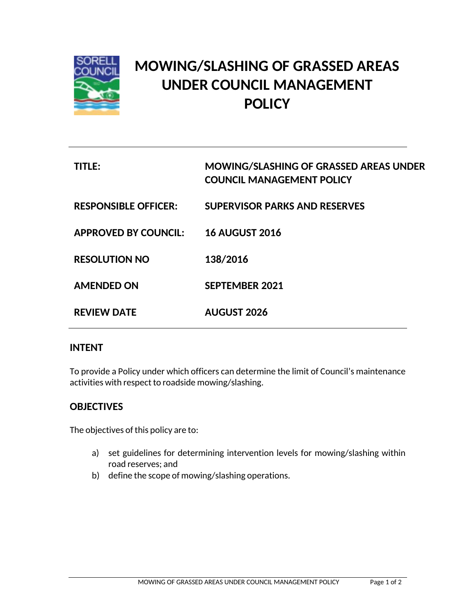

# **MOWING/SLASHING OF GRASSED AREAS UNDER COUNCIL MANAGEMENT POLICY**

| TITLE:                      | <b>MOWING/SLASHING OF GRASSED AREAS UNDER</b><br><b>COUNCIL MANAGEMENT POLICY</b> |
|-----------------------------|-----------------------------------------------------------------------------------|
| <b>RESPONSIBLE OFFICER:</b> | <b>SUPERVISOR PARKS AND RESERVES</b>                                              |
| <b>APPROVED BY COUNCIL:</b> | <b>16 AUGUST 2016</b>                                                             |
| <b>RESOLUTION NO</b>        | 138/2016                                                                          |
| <b>AMENDED ON</b>           | <b>SEPTEMBER 2021</b>                                                             |
| <b>REVIEW DATE</b>          | <b>AUGUST 2026</b>                                                                |

## **INTENT**

To provide a Policy under which officers can determine the limit of Council's maintenance activities with respect to roadside mowing/slashing.

## **OBJECTIVES**

The objectives of this policy are to:

- a) set guidelines for determining intervention levels for mowing/slashing within road reserves; and
- b) define the scope of mowing/slashing operations.